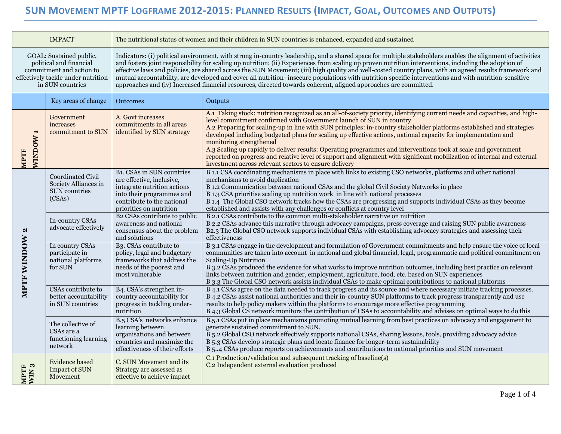## SUN MOVEMENT MPTF LOGFRAME 2012-2015: PLANNED RESULTS (IMPACT, GOAL, OUTCOMES AND OUTPUTS)

| <b>IMPACT</b>                                                                                                                            |                                                                             | The nutritional status of women and their children in SUN countries is enhanced, expanded and sustained                                                                                                                                                                                                                                                                                                                                                                                                                                                                                                                                                                                                                                                   |                                                                                                                                                                                                                                                                                                                                                                                                                                                                                                                                                                                                                                                                                                                                                                             |  |  |  |
|------------------------------------------------------------------------------------------------------------------------------------------|-----------------------------------------------------------------------------|-----------------------------------------------------------------------------------------------------------------------------------------------------------------------------------------------------------------------------------------------------------------------------------------------------------------------------------------------------------------------------------------------------------------------------------------------------------------------------------------------------------------------------------------------------------------------------------------------------------------------------------------------------------------------------------------------------------------------------------------------------------|-----------------------------------------------------------------------------------------------------------------------------------------------------------------------------------------------------------------------------------------------------------------------------------------------------------------------------------------------------------------------------------------------------------------------------------------------------------------------------------------------------------------------------------------------------------------------------------------------------------------------------------------------------------------------------------------------------------------------------------------------------------------------------|--|--|--|
| GOAL: Sustained public,<br>political and financial<br>commitment and action to<br>effectively tackle under nutrition<br>in SUN countries |                                                                             | Indicators: (i) political environment, with strong in-country leadership, and a shared space for multiple stakeholders enables the alignment of activities<br>and fosters joint responsibility for scaling up nutrition; (ii) Experiences from scaling up proven nutrition interventions, including the adoption of<br>effective laws and policies, are shared across the SUN Movement; (iii) high quality and well-costed country plans, with an agreed results framework and<br>mutual accountability, are developed and cover all nutrition-insecure populations with nutrition specific interventions and with nutrition-sensitive<br>approaches and (iv) Increased financial resources, directed towards coherent, aligned approaches are committed. |                                                                                                                                                                                                                                                                                                                                                                                                                                                                                                                                                                                                                                                                                                                                                                             |  |  |  |
|                                                                                                                                          | Key areas of change                                                         | <b>Outcomes</b>                                                                                                                                                                                                                                                                                                                                                                                                                                                                                                                                                                                                                                                                                                                                           | Outputs                                                                                                                                                                                                                                                                                                                                                                                                                                                                                                                                                                                                                                                                                                                                                                     |  |  |  |
| WINDOW <sub>1</sub><br>MPTF                                                                                                              | Government<br>increases<br>commitment to SUN                                | A. Govt increases<br>commitments in all areas<br>identified by SUN strategy                                                                                                                                                                                                                                                                                                                                                                                                                                                                                                                                                                                                                                                                               | A.1 Taking stock: nutrition recognized as an all-of-society priority, identifying current needs and capacities, and high-<br>level commitment confirmed with Government launch of SUN in country<br>A.2 Preparing for scaling-up in line with SUN principles: in-country stakeholder platforms established and strategies<br>developed including budgeted plans for scaling up effective actions, national capacity for implementation and<br>monitoring strengthened<br>A.3 Scaling up rapidly to deliver results: Operating programmes and interventions took at scale and government<br>reported on progress and relative level of support and alignment with significant mobilization of internal and external<br>investment across relevant sectors to ensure delivery |  |  |  |
| N<br>MPTF WINDOW                                                                                                                         | Coordinated Civil<br>Society Alliances in<br><b>SUN</b> countries<br>(CSAs) | <b>B1. CSAs in SUN countries</b><br>are effective, inclusive,<br>integrate nutrition actions<br>into their programmes and<br>contribute to the national<br>priorities on nutrition                                                                                                                                                                                                                                                                                                                                                                                                                                                                                                                                                                        | B 1.1 CSA coordinating mechanisms in place with links to existing CSO networks, platforms and other national<br>mechanisms to avoid duplication<br>B 1.2 Communication between national CSAs and the global Civil Society Networks in place<br>B 1.3 CSA prioritise scaling up nutrition work in line with national processes<br>B 1.4 The Global CSO network tracks how the CSAs are progressing and supports individual CSAs as they become<br>established and assists with any challenges or conflicts at country level                                                                                                                                                                                                                                                  |  |  |  |
|                                                                                                                                          | In-country CSAs<br>advocate effectively                                     | B2 CSAs contribute to public<br>awareness and national<br>consensus about the problem<br>and solutions                                                                                                                                                                                                                                                                                                                                                                                                                                                                                                                                                                                                                                                    | B 2.1 CSAs contribute to the common multi-stakeholder narrative on nutrition<br>B 2.2 CSAs advance this narrative through advocacy campaigns, press coverage and raising SUN public awareness<br>B2.3 The Global CSO network supports individual CSAs with establishing advocacy strategies and assessing their<br>effectiveness                                                                                                                                                                                                                                                                                                                                                                                                                                            |  |  |  |
|                                                                                                                                          | In country CSAs<br>participate in<br>national platforms<br>for SUN          | B <sub>3</sub> . CSAs contribute to<br>policy, legal and budgetary<br>frameworks that address the<br>needs of the poorest and<br>most vulnerable                                                                                                                                                                                                                                                                                                                                                                                                                                                                                                                                                                                                          | B 3.1 CSAs engage in the development and formulation of Government commitments and help ensure the voice of local<br>communities are taken into account in national and global financial, legal, programmatic and political commitment on<br><b>Scaling-Up Nutrition</b><br>B 3.2 CSAs produced the evidence for what works to improve nutrition outcomes, including best practice on relevant<br>links between nutrition and gender, employment, agriculture, food, etc. based on SUN experiences<br>B 3.3 The Global CSO network assists individual CSAs to make optimal contributions to national platforms                                                                                                                                                              |  |  |  |
|                                                                                                                                          | CSAs contribute to<br>better accountability<br>in SUN countries             | B4. CSA's strengthen in-<br>country accountability for<br>progress in tackling under-<br>nutrition                                                                                                                                                                                                                                                                                                                                                                                                                                                                                                                                                                                                                                                        | B 4.1 CSAs agree on the data needed to track progress and its source and where necessary initiate tracking processes.<br>B 4.2 CSAs assist national authorities and their in-country SUN platforms to track progress transparently and use<br>results to help policy makers within the platforms to encourage more effective programming<br>B 4.3 Global CS network monitors the contribution of CSAs to accountability and advises on optimal ways to do this                                                                                                                                                                                                                                                                                                              |  |  |  |
|                                                                                                                                          | The collective of<br>CSAs are a<br>functioning learning<br>network          | B.5 CSA's networks enhance<br>learning between<br>organisations and between<br>countries and maximize the<br>effectiveness of their efforts                                                                                                                                                                                                                                                                                                                                                                                                                                                                                                                                                                                                               | B.5.1 CSAs put in place mechanisms promoting mutual learning from best practices on advocacy and engagement to<br>generate sustained commitment to SUN.<br>B 5.2 Global CSO network effectively supports national CSAs, sharing lessons, tools, providing advocacy advice<br>B 5.3 CSAs develop strategic plans and locate finance for longer-term sustainability<br>B 54 CSAs produce reports on achievements and contributions to national priorities and SUN movement                                                                                                                                                                                                                                                                                                    |  |  |  |
| ಣ<br>MPTF<br>WIN:                                                                                                                        | <b>Evidence based</b><br><b>Impact of SUN</b><br>Movement                   | C. SUN Movement and its<br>Strategy are assessed as<br>effective to achieve impact                                                                                                                                                                                                                                                                                                                                                                                                                                                                                                                                                                                                                                                                        | C.1 Production/validation and subsequent tracking of baseline(s)<br>C.2 Independent external evaluation produced                                                                                                                                                                                                                                                                                                                                                                                                                                                                                                                                                                                                                                                            |  |  |  |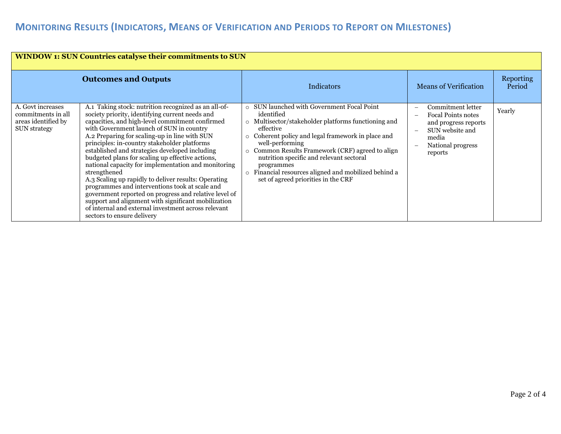## **MONITORING RESULTS (INDICATORS, MEANS OF VERIFICATION AND PERIODS TO REPORT ON MILESTONES)**

| <b>WINDOW 1: SUN Countries catalyse their commitments to SUN</b>                      |                                                                                                                                                                                                                                                                                                                                                                                                                                                                                                                                                                                                                                                                                                                                                                                                     |                                                                                                                                                                                                                                                                                                                                                                                                                                                |                                                                                                                                    |                            |  |  |
|---------------------------------------------------------------------------------------|-----------------------------------------------------------------------------------------------------------------------------------------------------------------------------------------------------------------------------------------------------------------------------------------------------------------------------------------------------------------------------------------------------------------------------------------------------------------------------------------------------------------------------------------------------------------------------------------------------------------------------------------------------------------------------------------------------------------------------------------------------------------------------------------------------|------------------------------------------------------------------------------------------------------------------------------------------------------------------------------------------------------------------------------------------------------------------------------------------------------------------------------------------------------------------------------------------------------------------------------------------------|------------------------------------------------------------------------------------------------------------------------------------|----------------------------|--|--|
| <b>Outcomes and Outputs</b>                                                           |                                                                                                                                                                                                                                                                                                                                                                                                                                                                                                                                                                                                                                                                                                                                                                                                     | <b>Indicators</b>                                                                                                                                                                                                                                                                                                                                                                                                                              | <b>Means of Verification</b>                                                                                                       | <b>Reporting</b><br>Period |  |  |
| A. Govt increases<br>commitments in all<br>areas identified by<br><b>SUN</b> strategy | A.1 Taking stock: nutrition recognized as an all-of-<br>society priority, identifying current needs and<br>capacities, and high-level commitment confirmed<br>with Government launch of SUN in country<br>A.2 Preparing for scaling-up in line with SUN<br>principles: in-country stakeholder platforms<br>established and strategies developed including<br>budgeted plans for scaling up effective actions,<br>national capacity for implementation and monitoring<br>strengthened<br>A.3 Scaling up rapidly to deliver results: Operating<br>programmes and interventions took at scale and<br>government reported on progress and relative level of<br>support and alignment with significant mobilization<br>of internal and external investment across relevant<br>sectors to ensure delivery | SUN launched with Government Focal Point<br>$\Omega$<br>identified<br>o Multisector/stakeholder platforms functioning and<br>effective<br>Coherent policy and legal framework in place and<br>$\circ$<br>well-performing<br>o Common Results Framework (CRF) agreed to align<br>nutrition specific and relevant sectoral<br>programmes<br>Financial resources aligned and mobilized behind a<br>$\circ$<br>set of agreed priorities in the CRF | Commitment letter<br><b>Focal Points notes</b><br>and progress reports<br>SUN website and<br>media<br>National progress<br>reports | Yearly                     |  |  |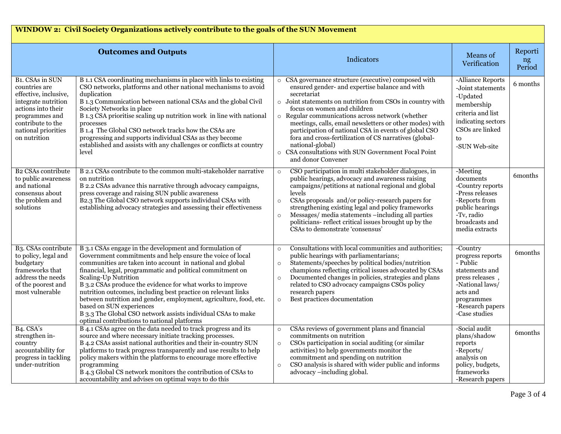## **WINDOW 2: Civil Society Organizations actively contribute to the goals of the SUN Movement**

|                                                                                                                                                                                                   | <b>Outcomes and Outputs</b>                                                                                                                                                                                                                                                                                                                                                                                                                                                                                                                                                                                           | Indicators                                                                                                                                                                                                                                                                                                                                                                                                                                                                                                                                                             | Means of<br>Verification                                                                                                                                        | Reporti<br>ng<br>Period |
|---------------------------------------------------------------------------------------------------------------------------------------------------------------------------------------------------|-----------------------------------------------------------------------------------------------------------------------------------------------------------------------------------------------------------------------------------------------------------------------------------------------------------------------------------------------------------------------------------------------------------------------------------------------------------------------------------------------------------------------------------------------------------------------------------------------------------------------|------------------------------------------------------------------------------------------------------------------------------------------------------------------------------------------------------------------------------------------------------------------------------------------------------------------------------------------------------------------------------------------------------------------------------------------------------------------------------------------------------------------------------------------------------------------------|-----------------------------------------------------------------------------------------------------------------------------------------------------------------|-------------------------|
| B <sub>1</sub> . CSAs in SUN<br>countries are<br>effective, inclusive,<br>integrate nutrition<br>actions into their<br>programmes and<br>contribute to the<br>national priorities<br>on nutrition | B 1.1 CSA coordinating mechanisms in place with links to existing<br>CSO networks, platforms and other national mechanisms to avoid<br>duplication<br>B 1.3 Communication between national CSAs and the global Civil<br>Society Networks in place<br>B 1.3 CSA prioritise scaling up nutrition work in line with national<br>processes<br>B 1.4 The Global CSO network tracks how the CSAs are<br>progressing and supports individual CSAs as they become<br>established and assists with any challenges or conflicts at country<br>level                                                                             | CSA governance structure (executive) composed with<br>$\circ$<br>ensured gender- and expertise balance and with<br>secretariat<br>o Joint statements on nutrition from CSOs in country with<br>focus on women and children<br>Regular communications across network (whether<br>$\circ$<br>meetings, calls, email newsletters or other modes) with<br>participation of national CSA in events of global CSO<br>fora and cross-fertilization of CS narratives (global-<br>national-global)<br>o CSA consultations with SUN Government Focal Point<br>and donor Convener | -Alliance Reports<br>-Joint statements<br>-Updated<br>membership<br>criteria and list<br>indicating sectors<br>CSOs are linked<br>to<br>-SUN Web-site           | 6 months                |
| <b>B2 CSAs contribute</b><br>to public awareness<br>and national<br>consensus about<br>the problem and<br>solutions                                                                               | B 2.1 CSAs contribute to the common multi-stakeholder narrative<br>on nutrition<br>B 2.2 CSAs advance this narrative through advocacy campaigns,<br>press coverage and raising SUN public awareness<br>B2.3 The Global CSO network supports individual CSAs with<br>establishing advocacy strategies and assessing their effectiveness                                                                                                                                                                                                                                                                                | CSO participation in multi stakeholder dialogues, in<br>$\circ$<br>public hearings, advocacy and awareness raising<br>campaigns/petitions at national regional and global<br>levels<br>CSAs proposals and/or policy-research papers for<br>$\circ$<br>strengthening existing legal and policy frameworks<br>Messages/ media statements -including all parties<br>politicians- reflect critical issues brought up by the<br>CSAs to demonstrate 'consensus'                                                                                                             | -Meeting<br>documents<br>-Country reports<br>-Press releases<br>-Reports from<br>public hearings<br>-Tv, radio<br>broadcasts and<br>media extracts              | 6months                 |
| B <sub>3</sub> . CSAs contribute<br>to policy, legal and<br>budgetary<br>frameworks that<br>address the needs<br>of the poorest and<br>most vulnerable                                            | B 3.1 CSAs engage in the development and formulation of<br>Government commitments and help ensure the voice of local<br>communities are taken into account in national and global<br>financial, legal, programmatic and political commitment on<br>Scaling-Up Nutrition<br>B 3.2 CSAs produce the evidence for what works to improve<br>nutrition outcomes, including best practice on relevant links<br>between nutrition and gender, employment, agriculture, food, etc.<br>based on SUN experiences<br>B 3.3 The Global CSO network assists individual CSAs to make<br>optimal contributions to national platforms | Consultations with local communities and authorities;<br>$\circ$<br>public hearings with parliamentarians;<br>Statements/speeches by political bodies/nutrition<br>$\circ$<br>champions reflecting critical issues advocated by CSAs<br>Documented changes in policies, strategies and plans<br>related to CSO advocacy campaigns CSOs policy<br>research papers<br>Best practices documentation<br>$\circ$                                                                                                                                                            | -Country<br>progress reports<br>- Public<br>statements and<br>press releases,<br>-National laws/<br>acts and<br>programmes<br>-Research papers<br>-Case studies | 6 <sub>m</sub> onths    |
| $B4. \overline{CSA's}$<br>strengthen in-<br>country<br>accountability for<br>progress in tackling<br>under-nutrition                                                                              | B 4.1 CSAs agree on the data needed to track progress and its<br>source and where necessary initiate tracking processes.<br>B 4.2 CSAs assist national authorities and their in-country SUN<br>platforms to track progress transparently and use results to help<br>policy makers within the platforms to encourage more effective<br>programming<br>B 4.3 Global CS network monitors the contribution of CSAs to<br>accountability and advises on optimal ways to do this                                                                                                                                            | CSAs reviews of government plans and financial<br>$\circ$<br>commitments on nutrition<br>CSOs participation in social auditing (or similar<br>$\circ$<br>activities) to help governments monitor the<br>commitment and spending on nutrition<br>CSO analysis is shared with wider public and informs<br>$\circ$<br>advocacy -including global.                                                                                                                                                                                                                         | -Social audit<br>plans/shadow<br>reports<br>-Reports/<br>analysis on<br>policy, budgets,<br>frameworks<br>-Research papers                                      | 6months                 |